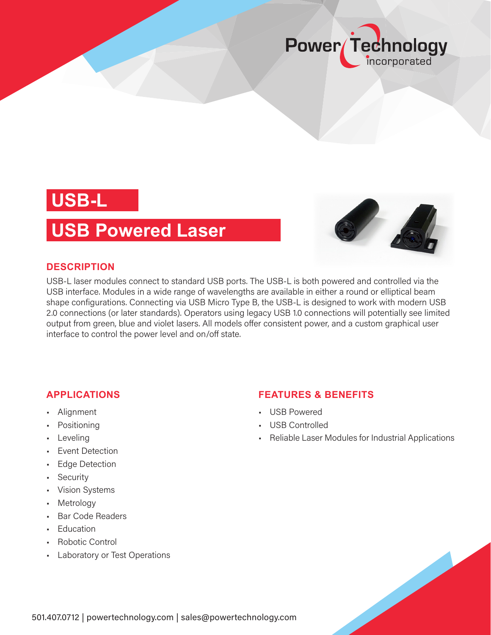

## **USB-L**

### **USB Powered Laser**



USB-L laser modules connect to standard USB ports. The USB-L is both powered and controlled via the USB interface. Modules in a wide range of wavelengths are available in either a round or elliptical beam shape configurations. Connecting via USB Micro Type B, the USB-L is designed to work with modern USB 2.0 connections (or later standards). Operators using legacy USB 1.0 connections will potentially see limited output from green, blue and violet lasers. All models offer consistent power, and a custom graphical user interface to control the power level and on/off state.

### **APPLICATIONS**

- Alignment
- Positioning
- Leveling
- Event Detection
- Edge Detection
- Security
- Vision Systems
- Metrology
- Bar Code Readers
- Education
- Robotic Control
- Laboratory or Test Operations

### **FEATURES & BENEFITS**

- USB Powered
- USB Controlled
- Reliable Laser Modules for Industrial Applications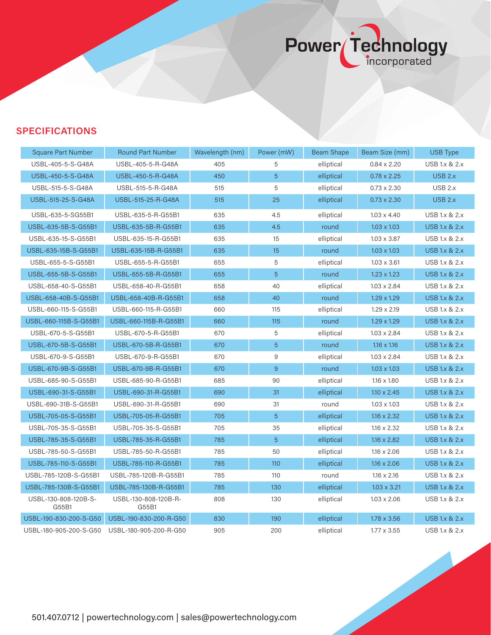# Power Technology

### **SPECIFICATIONS**

| <b>Square Part Number</b>     | <b>Round Part Number</b>      | Wavelength (nm) | Power (mW)       | <b>Beam Shape</b> | Beam Size (mm)     | <b>USB Type</b>          |
|-------------------------------|-------------------------------|-----------------|------------------|-------------------|--------------------|--------------------------|
| USBL-405-5-S-G48A             | USBL-405-5-R-G48A             | 405             | 5                | elliptical        | $0.84 \times 2.20$ | <b>USB 1.x &amp; 2.x</b> |
| USBL-450-5-S-G48A             | USBL-450-5-R-G48A             | 450             | 5                | elliptical        | $0.78 \times 2.25$ | USB 2.x                  |
| USBL-515-5-S-G48A             | USBL-515-5-R-G48A             | 515             | 5                | elliptical        | $0.73 \times 2.30$ | USB 2.x                  |
| USBL-515-25-S-G48A            | USBL-515-25-R-G48A            | 515             | 25               | elliptical        | $0.73 \times 2.30$ | <b>USB 2.x</b>           |
| USBL-635-5-SG55B1             | USBL-635-5-R-G55B1            | 635             | 4.5              | elliptical        | $1.03 \times 4.40$ | <b>USB 1.x &amp; 2.x</b> |
| USBL-635-5B-S-G55B1           | USBL-635-5B-R-G55B1           | 635             | 4.5              | round             | $1.03 \times 1.03$ | <b>USB 1.x &amp; 2.x</b> |
| USBL-635-15-S-G55B1           | USBL-635-15-R-G55B1           | 635             | 15               | elliptical        | $1.03 \times 3.87$ | USB 1.x & 2.x            |
| USBL-635-15B-S-G55B1          | USBL-635-15B-R-G55B1          | 635             | 15               | round             | $1.03 \times 1.03$ | <b>USB 1.x &amp; 2.x</b> |
| USBL-655-5-S-G55B1            | USBL-655-5-R-G55B1            | 655             | 5                | elliptical        | $1.03 \times 3.61$ | <b>USB 1.x &amp; 2.x</b> |
| USBL-655-5B-S-G55B1           | USBL-655-5B-R-G55B1           | 655             | 5                | round             | $1.23 \times 1.23$ | <b>USB 1.x &amp; 2.x</b> |
| USBL-658-40-S-G55B1           | USBL-658-40-R-G55B1           | 658             | 40               | elliptical        | $1.03 \times 2.84$ | USB 1.x & 2.x            |
| USBL-658-40B-S-G55B1          | USBL-658-40B-R-G55B1          | 658             | 40               | round             | $1.29 \times 1.29$ | <b>USB 1.x &amp; 2.x</b> |
| USBL-660-115-S-G55B1          | USBL-660-115-R-G55B1          | 660             | 115              | elliptical        | $1.29 \times 2.19$ | <b>USB 1.x &amp; 2.x</b> |
| USBL-660-115B-S-G55B1         | USBL-660-115B-R-G55B1         | 660             | 115              | round             | $1.29 \times 1.29$ | <b>USB 1.x &amp; 2.x</b> |
| USBL-670-5-S-G55B1            | USBL-670-5-R-G55B1            | 670             | 5                | elliptical        | $1.03 \times 2.84$ | <b>USB 1.x &amp; 2.x</b> |
| USBL-670-5B-S-G55B1           | USBL-670-5B-R-G55B1           | 670             | 5                | round             | $1.16 \times 1.16$ | <b>USB 1.x &amp; 2.x</b> |
| USBL-670-9-S-G55B1            | USBL-670-9-R-G55B1            | 670             | 9                | elliptical        | $1.03 \times 2.84$ | <b>USB 1.x &amp; 2.x</b> |
| USBL-670-9B-S-G55B1           | USBL-670-9B-R-G55B1           | 670             | $\boldsymbol{9}$ | round             | $1.03 \times 1.03$ | <b>USB 1.x &amp; 2.x</b> |
| USBL-685-90-S-G55B1           | USBL-685-90-R-G55B1           | 685             | 90               | elliptical        | $1.16 \times 1.80$ | <b>USB 1.x &amp; 2.x</b> |
| USBL-690-31-S-G55B1           | USBL-690-31-R-G55B1           | 690             | 31               | elliptical        | $1.10 \times 2.45$ | <b>USB 1.x &amp; 2.x</b> |
| USBL-690-31B-S-G55B1          | USBL-690-31-R-G55B1           | 690             | 31               | round             | $1.03 \times 1.03$ | USB 1.x & 2.x            |
| USBL-705-05-S-G55B1           | USBL-705-05-R-G55B1           | 705             | 5                | elliptical        | $1.16 \times 2.32$ | <b>USB 1.x &amp; 2.x</b> |
| USBL-705-35-S-G55B1           | USBL-705-35-S-G55B1           | 705             | 35               | elliptical        | $1.16 \times 2.32$ | USB 1.x & 2.x            |
| USBL-785-35-S-G55B1           | USBL-785-35-R-G55B1           | 785             | 5                | elliptical        | $1.16 \times 2.82$ | <b>USB 1.x &amp; 2.x</b> |
| USBL-785-50-S-G55B1           | USBL-785-50-R-G55B1           | 785             | 50               | elliptical        | $1.16 \times 2.06$ | USB 1.x & 2.x            |
| USBL-785-110-S-G55B1          | USBL-785-110-R-G55B1          | 785             | 110              | elliptical        | $1.16 \times 2.06$ | <b>USB 1.x &amp; 2.x</b> |
| USBL-785-120B-S-G55B1         | USBL-785-120B-R-G55B1         | 785             | 110              | round             | $1.16 \times 2.16$ | <b>USB 1.x &amp; 2.x</b> |
| USBL-785-130B-S-G55B1         | USBL-785-130B-R-G55B1         | 785             | 130              | elliptical        | $1.03 \times 3.21$ | <b>USB 1.x &amp; 2.x</b> |
| USBL-130-808-120B-S-<br>G55B1 | USBL-130-808-120B-R-<br>G55B1 | 808             | 130              | elliptical        | $1.03 \times 2.06$ | USB 1.x & 2.x            |
| USBL-190-830-200-S-G50        | USBL-190-830-200-R-G50        | 830             | 190              | elliptical        | $1.78 \times 3.56$ | <b>USB 1.x &amp; 2.x</b> |
| USBL-180-905-200-S-G50        | USBL-180-905-200-R-G50        | 905             | 200              | elliptical        | $1.77 \times 3.55$ | <b>USB 1.x &amp; 2.x</b> |